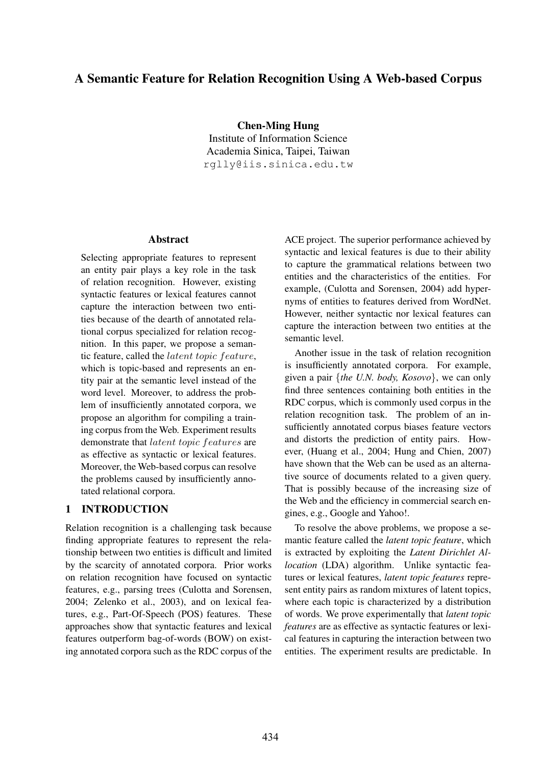# A Semantic Feature for Relation Recognition Using A Web-based Corpus

Chen-Ming Hung Institute of Information Science Academia Sinica, Taipei, Taiwan rglly@iis.sinica.edu.tw

#### Abstract

Selecting appropriate features to represent an entity pair plays a key role in the task of relation recognition. However, existing syntactic features or lexical features cannot capture the interaction between two entities because of the dearth of annotated relational corpus specialized for relation recognition. In this paper, we propose a semantic feature, called the latent topic feature, which is topic-based and represents an entity pair at the semantic level instead of the word level. Moreover, to address the problem of insufficiently annotated corpora, we propose an algorithm for compiling a training corpus from the Web. Experiment results demonstrate that latent topic features are as effective as syntactic or lexical features. Moreover, the Web-based corpus can resolve the problems caused by insufficiently annotated relational corpora.

## 1 INTRODUCTION

Relation recognition is a challenging task because finding appropriate features to represent the relationship between two entities is difficult and limited by the scarcity of annotated corpora. Prior works on relation recognition have focused on syntactic features, e.g., parsing trees (Culotta and Sorensen, 2004; Zelenko et al., 2003), and on lexical features, e.g., Part-Of-Speech (POS) features. These approaches show that syntactic features and lexical features outperform bag-of-words (BOW) on existing annotated corpora such as the RDC corpus of the

ACE project. The superior performance achieved by syntactic and lexical features is due to their ability to capture the grammatical relations between two entities and the characteristics of the entities. For example, (Culotta and Sorensen, 2004) add hypernyms of entities to features derived from WordNet. However, neither syntactic nor lexical features can capture the interaction between two entities at the semantic level.

Another issue in the task of relation recognition is insufficiently annotated corpora. For example, given a pair {*the U.N. body, Kosovo*}, we can only find three sentences containing both entities in the RDC corpus, which is commonly used corpus in the relation recognition task. The problem of an insufficiently annotated corpus biases feature vectors and distorts the prediction of entity pairs. However, (Huang et al., 2004; Hung and Chien, 2007) have shown that the Web can be used as an alternative source of documents related to a given query. That is possibly because of the increasing size of the Web and the efficiency in commercial search engines, e.g., Google and Yahoo!.

To resolve the above problems, we propose a semantic feature called the *latent topic feature*, which is extracted by exploiting the *Latent Dirichlet Allocation* (LDA) algorithm. Unlike syntactic features or lexical features, *latent topic features* represent entity pairs as random mixtures of latent topics, where each topic is characterized by a distribution of words. We prove experimentally that *latent topic features* are as effective as syntactic features or lexical features in capturing the interaction between two entities. The experiment results are predictable. In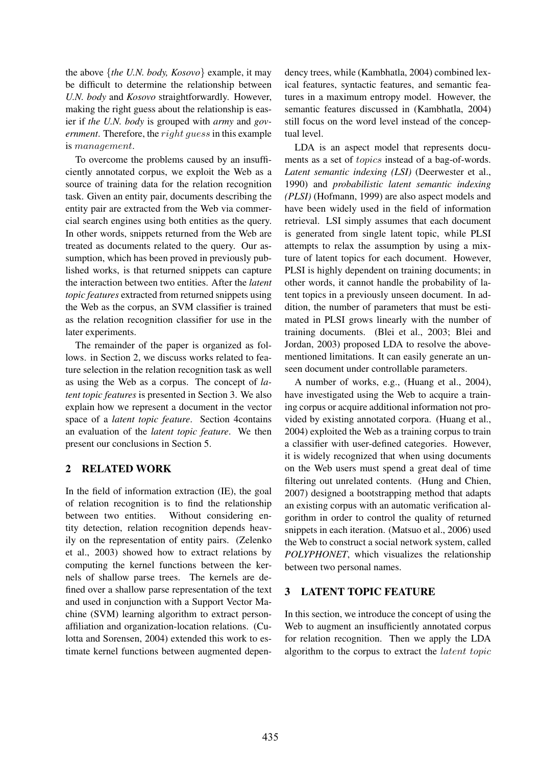the above {*the U.N. body, Kosovo*} example, it may be difficult to determine the relationship between *U.N. body* and *Kosovo* straightforwardly. However, making the right guess about the relationship is easier if *the U.N. body* is grouped with *army* and *government*. Therefore, the right guess in this example is management.

To overcome the problems caused by an insufficiently annotated corpus, we exploit the Web as a source of training data for the relation recognition task. Given an entity pair, documents describing the entity pair are extracted from the Web via commercial search engines using both entities as the query. In other words, snippets returned from the Web are treated as documents related to the query. Our assumption, which has been proved in previously published works, is that returned snippets can capture the interaction between two entities. After the *latent topic features* extracted from returned snippets using the Web as the corpus, an SVM classifier is trained as the relation recognition classifier for use in the later experiments.

The remainder of the paper is organized as follows. in Section 2, we discuss works related to feature selection in the relation recognition task as well as using the Web as a corpus. The concept of *latent topic features* is presented in Section 3. We also explain how we represent a document in the vector space of a *latent topic feature*. Section 4contains an evaluation of the *latent topic feature*. We then present our conclusions in Section 5.

## 2 RELATED WORK

In the field of information extraction (IE), the goal of relation recognition is to find the relationship between two entities. Without considering entity detection, relation recognition depends heavily on the representation of entity pairs. (Zelenko et al., 2003) showed how to extract relations by computing the kernel functions between the kernels of shallow parse trees. The kernels are defined over a shallow parse representation of the text and used in conjunction with a Support Vector Machine (SVM) learning algorithm to extract personaffiliation and organization-location relations. (Culotta and Sorensen, 2004) extended this work to estimate kernel functions between augmented depen-

dency trees, while (Kambhatla, 2004) combined lexical features, syntactic features, and semantic features in a maximum entropy model. However, the semantic features discussed in (Kambhatla, 2004) still focus on the word level instead of the conceptual level.

LDA is an aspect model that represents documents as a set of *topics* instead of a bag-of-words. *Latent semantic indexing (LSI)* (Deerwester et al., 1990) and *probabilistic latent semantic indexing (PLSI)* (Hofmann, 1999) are also aspect models and have been widely used in the field of information retrieval. LSI simply assumes that each document is generated from single latent topic, while PLSI attempts to relax the assumption by using a mixture of latent topics for each document. However, PLSI is highly dependent on training documents; in other words, it cannot handle the probability of latent topics in a previously unseen document. In addition, the number of parameters that must be estimated in PLSI grows linearly with the number of training documents. (Blei et al., 2003; Blei and Jordan, 2003) proposed LDA to resolve the abovementioned limitations. It can easily generate an unseen document under controllable parameters.

A number of works, e.g., (Huang et al., 2004), have investigated using the Web to acquire a training corpus or acquire additional information not provided by existing annotated corpora. (Huang et al., 2004) exploited the Web as a training corpus to train a classifier with user-defined categories. However, it is widely recognized that when using documents on the Web users must spend a great deal of time filtering out unrelated contents. (Hung and Chien, 2007) designed a bootstrapping method that adapts an existing corpus with an automatic verification algorithm in order to control the quality of returned snippets in each iteration. (Matsuo et al., 2006) used the Web to construct a social network system, called *POLYPHONET*, which visualizes the relationship between two personal names.

## 3 LATENT TOPIC FEATURE

In this section, we introduce the concept of using the Web to augment an insufficiently annotated corpus for relation recognition. Then we apply the LDA algorithm to the corpus to extract the latent topic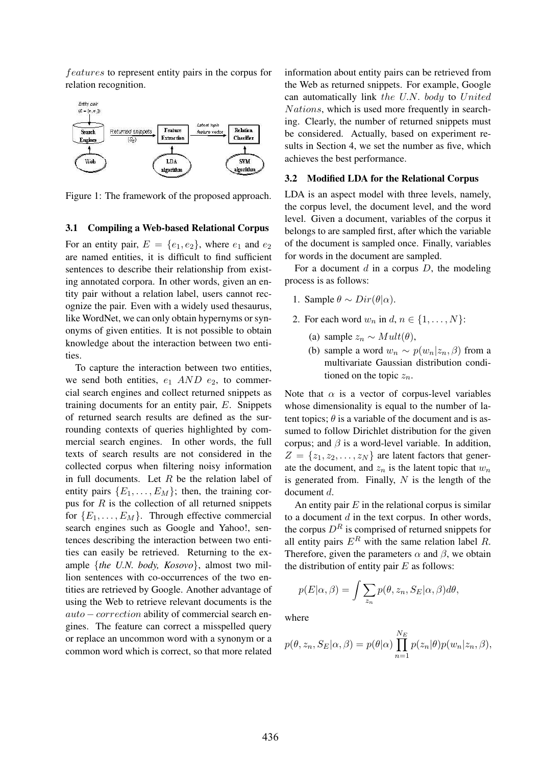features to represent entity pairs in the corpus for relation recognition.



Figure 1: The framework of the proposed approach.

#### 3.1 Compiling a Web-based Relational Corpus

For an entity pair,  $E = \{e_1, e_2\}$ , where  $e_1$  and  $e_2$ are named entities, it is difficult to find sufficient sentences to describe their relationship from existing annotated corpora. In other words, given an entity pair without a relation label, users cannot recognize the pair. Even with a widely used thesaurus, like WordNet, we can only obtain hypernyms or synonyms of given entities. It is not possible to obtain knowledge about the interaction between two entities.

To capture the interaction between two entities, we send both entities,  $e_1$  AND  $e_2$ , to commercial search engines and collect returned snippets as training documents for an entity pair, E. Snippets of returned search results are defined as the surrounding contexts of queries highlighted by commercial search engines. In other words, the full texts of search results are not considered in the collected corpus when filtering noisy information in full documents. Let  $R$  be the relation label of entity pairs  $\{E_1, \ldots, E_M\}$ ; then, the training corpus for  $R$  is the collection of all returned snippets for  $\{E_1, \ldots, E_M\}$ . Through effective commercial search engines such as Google and Yahoo!, sentences describing the interaction between two entities can easily be retrieved. Returning to the example {*the U.N. body, Kosovo*}, almost two million sentences with co-occurrences of the two entities are retrieved by Google. Another advantage of using the Web to retrieve relevant documents is the auto − correction ability of commercial search engines. The feature can correct a misspelled query or replace an uncommon word with a synonym or a common word which is correct, so that more related information about entity pairs can be retrieved from the Web as returned snippets. For example, Google can automatically link the U.N. body to United Nations, which is used more frequently in searching. Clearly, the number of returned snippets must be considered. Actually, based on experiment results in Section 4, we set the number as five, which achieves the best performance.

## 3.2 Modified LDA for the Relational Corpus

LDA is an aspect model with three levels, namely, the corpus level, the document level, and the word level. Given a document, variables of the corpus it belongs to are sampled first, after which the variable of the document is sampled once. Finally, variables for words in the document are sampled.

For a document  $d$  in a corpus  $D$ , the modeling process is as follows:

- 1. Sample  $\theta \sim Dir(\theta|\alpha)$ .
- 2. For each word  $w_n$  in  $d, n \in \{1, \ldots, N\}$ :
	- (a) sample  $z_n \sim Mult(\theta)$ ,
	- (b) sample a word  $w_n \sim p(w_n|z_n, \beta)$  from a multivariate Gaussian distribution conditioned on the topic  $z_n$ .

Note that  $\alpha$  is a vector of corpus-level variables whose dimensionality is equal to the number of latent topics;  $\theta$  is a variable of the document and is assumed to follow Dirichlet distribution for the given corpus; and  $\beta$  is a word-level variable. In addition,  $Z = \{z_1, z_2, \ldots, z_N\}$  are latent factors that generate the document, and  $z_n$  is the latent topic that  $w_n$ is generated from. Finally,  $N$  is the length of the document d.

An entity pair  $E$  in the relational corpus is similar to a document  $d$  in the text corpus. In other words, the corpus  $D<sup>R</sup>$  is comprised of returned snippets for all entity pairs  $E^R$  with the same relation label R. Therefore, given the parameters  $\alpha$  and  $\beta$ , we obtain the distribution of entity pair  $E$  as follows:

$$
p(E|\alpha, \beta) = \int \sum_{z_n} p(\theta, z_n, S_E|\alpha, \beta) d\theta,
$$

where

$$
p(\theta, z_n, S_E | \alpha, \beta) = p(\theta | \alpha) \prod_{n=1}^{N_E} p(z_n | \theta) p(w_n | z_n, \beta),
$$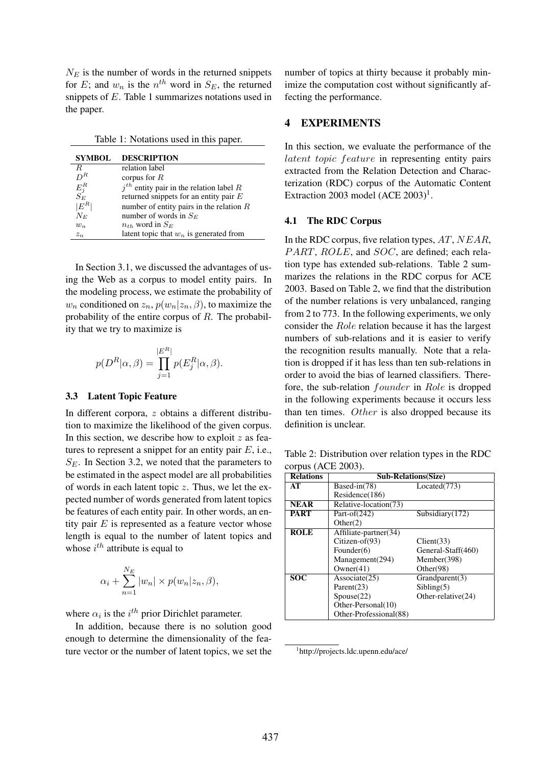$N<sub>E</sub>$  is the number of words in the returned snippets for E; and  $w_n$  is the  $n^{th}$  word in  $S_E$ , the returned snippets of E. Table 1 summarizes notations used in the paper.

Table 1: Notations used in this paper.

| <b>SYMBOL</b>       | <b>DESCRIPTION</b>                         |
|---------------------|--------------------------------------------|
| R.                  | relation label                             |
| $D^R$               | corpus for $R$                             |
| $\frac{E_j^R}{S_E}$ | $jth$ entity pair in the relation label R  |
|                     | returned snippets for an entity pair $E$   |
| $ E^{R^\pm}$        | number of entity pairs in the relation $R$ |
| $N_E$               | number of words in $S_E$                   |
| $w_n$               | $n_{th}$ word in $S_E$                     |
| $z_n$               | latent topic that $w_n$ is generated from  |

In Section 3.1, we discussed the advantages of using the Web as a corpus to model entity pairs. In the modeling process, we estimate the probability of  $w_n$  conditioned on  $z_n$ ,  $p(w_n|z_n, \beta)$ , to maximize the probability of the entire corpus of R. The probability that we try to maximize is

$$
p(D^{R}|\alpha,\beta) = \prod_{j=1}^{|E^{R}|} p(E_{j}^{R}|\alpha,\beta).
$$

## 3.3 Latent Topic Feature

In different corpora, z obtains a different distribution to maximize the likelihood of the given corpus. In this section, we describe how to exploit  $z$  as features to represent a snippet for an entity pair  $E$ , i.e.,  $S_E$ . In Section 3.2, we noted that the parameters to be estimated in the aspect model are all probabilities of words in each latent topic  $z$ . Thus, we let the expected number of words generated from latent topics be features of each entity pair. In other words, an entity pair  $E$  is represented as a feature vector whose length is equal to the number of latent topics and whose  $i^{th}$  attribute is equal to

$$
\alpha_i + \sum_{n=1}^{N_E} |w_n| \times p(w_n | z_n, \beta),
$$

where  $\alpha_i$  is the  $i^{th}$  prior Dirichlet parameter.

In addition, because there is no solution good enough to determine the dimensionality of the feature vector or the number of latent topics, we set the number of topics at thirty because it probably minimize the computation cost without significantly affecting the performance.

### 4 EXPERIMENTS

In this section, we evaluate the performance of the latent topic feature in representing entity pairs extracted from the Relation Detection and Characterization (RDC) corpus of the Automatic Content Extraction 2003 model  $(ACE 2003)^1$ .

#### 4.1 The RDC Corpus

In the RDC corpus, five relation types,  $AT$ ,  $NEAR$ , PART, ROLE, and SOC, are defined; each relation type has extended sub-relations. Table 2 summarizes the relations in the RDC corpus for ACE 2003. Based on Table 2, we find that the distribution of the number relations is very unbalanced, ranging from 2 to 773. In the following experiments, we only consider the Role relation because it has the largest numbers of sub-relations and it is easier to verify the recognition results manually. Note that a relation is dropped if it has less than ten sub-relations in order to avoid the bias of learned classifiers. Therefore, the sub-relation founder in Role is dropped in the following experiments because it occurs less than ten times. Other is also dropped because its definition is unclear.

Table 2: Distribution over relation types in the RDC corpus (ACE 2003).

| <b>Relations</b> | <b>Sub-Relations(Size)</b> |                    |  |
|------------------|----------------------------|--------------------|--|
| AT               | Based-in(78)               | Located(773)       |  |
|                  | Residence(186)             |                    |  |
| <b>NEAR</b>      | Relative-location(73)      |                    |  |
| <b>PART</b>      | Part-of $(242)$            | Subsidiary(172)    |  |
|                  | Other(2)                   |                    |  |
| <b>ROLE</b>      | Affiliate-partner(34)      |                    |  |
|                  | Citizen-of $(93)$          | Client(33)         |  |
|                  | Founder $(6)$              | General-Staff(460) |  |
|                  | Management(294)            | Member(398)        |  |
|                  | Owner(41)                  | Other(98)          |  |
| SOC              | Associate(25)              | Grandparent(3)     |  |
|                  | Parent $(23)$              | Sibling(5)         |  |
|                  | Spouse(22)                 | Other-relative(24) |  |
|                  | Other-Personal(10)         |                    |  |
|                  | Other-Professional(88)     |                    |  |

<sup>1</sup> http://projects.ldc.upenn.edu/ace/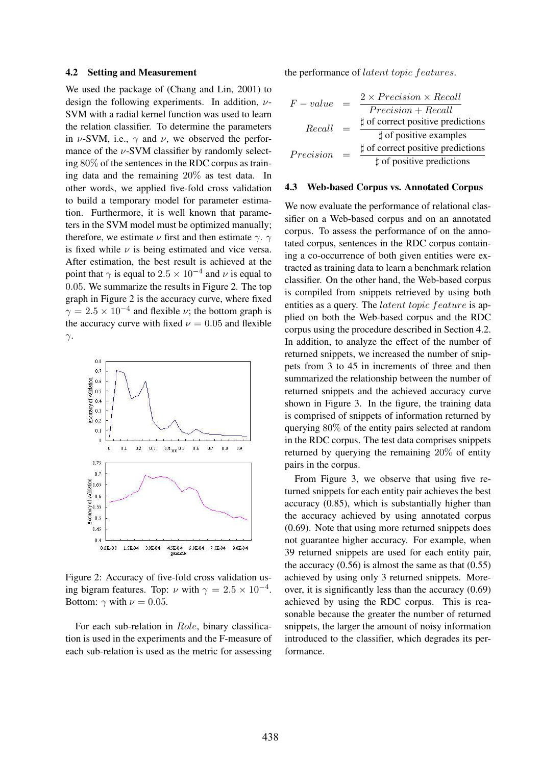#### 4.2 Setting and Measurement

We used the package of (Chang and Lin, 2001) to design the following experiments. In addition,  $\nu$ -SVM with a radial kernel function was used to learn the relation classifier. To determine the parameters in  $\nu$ -SVM, i.e.,  $\gamma$  and  $\nu$ , we observed the performance of the  $\nu$ -SVM classifier by randomly selecting 80% of the sentences in the RDC corpus as training data and the remaining 20% as test data. In other words, we applied five-fold cross validation to build a temporary model for parameter estimation. Furthermore, it is well known that parameters in the SVM model must be optimized manually; therefore, we estimate  $\nu$  first and then estimate  $\gamma$ .  $\gamma$ is fixed while  $\nu$  is being estimated and vice versa. After estimation, the best result is achieved at the point that  $\gamma$  is equal to  $2.5 \times 10^{-4}$  and  $\nu$  is equal to 0.05. We summarize the results in Figure 2. The top graph in Figure 2 is the accuracy curve, where fixed  $\gamma = 2.5 \times 10^{-4}$  and flexible  $\nu$ ; the bottom graph is the accuracy curve with fixed  $\nu = 0.05$  and flexible  $γ.$ 



Figure 2: Accuracy of five-fold cross validation using bigram features. Top:  $\nu$  with  $\gamma = 2.5 \times 10^{-4}$ . Bottom:  $\gamma$  with  $\nu = 0.05$ .

For each sub-relation in Role, binary classification is used in the experiments and the F-measure of each sub-relation is used as the metric for assessing the performance of latent topic features.

| $F-value$ |     | $2 \times Precision \times Recall$ |
|-----------|-----|------------------------------------|
|           |     | $Precision + Recall$               |
| Recall    | $=$ | t of correct positive predictions  |
|           |     | $\sharp$ of positive examples      |
| Precision | $=$ | t of correct positive predictions  |
|           |     | t of positive predictions          |

#### 4.3 Web-based Corpus vs. Annotated Corpus

We now evaluate the performance of relational classifier on a Web-based corpus and on an annotated corpus. To assess the performance of on the annotated corpus, sentences in the RDC corpus containing a co-occurrence of both given entities were extracted as training data to learn a benchmark relation classifier. On the other hand, the Web-based corpus is compiled from snippets retrieved by using both entities as a query. The latent topic feature is applied on both the Web-based corpus and the RDC corpus using the procedure described in Section 4.2. In addition, to analyze the effect of the number of returned snippets, we increased the number of snippets from 3 to 45 in increments of three and then summarized the relationship between the number of returned snippets and the achieved accuracy curve shown in Figure 3. In the figure, the training data is comprised of snippets of information returned by querying 80% of the entity pairs selected at random in the RDC corpus. The test data comprises snippets returned by querying the remaining 20% of entity pairs in the corpus.

From Figure 3, we observe that using five returned snippets for each entity pair achieves the best accuracy (0.85), which is substantially higher than the accuracy achieved by using annotated corpus (0.69). Note that using more returned snippets does not guarantee higher accuracy. For example, when 39 returned snippets are used for each entity pair, the accuracy  $(0.56)$  is almost the same as that  $(0.55)$ achieved by using only 3 returned snippets. Moreover, it is significantly less than the accuracy (0.69) achieved by using the RDC corpus. This is reasonable because the greater the number of returned snippets, the larger the amount of noisy information introduced to the classifier, which degrades its performance.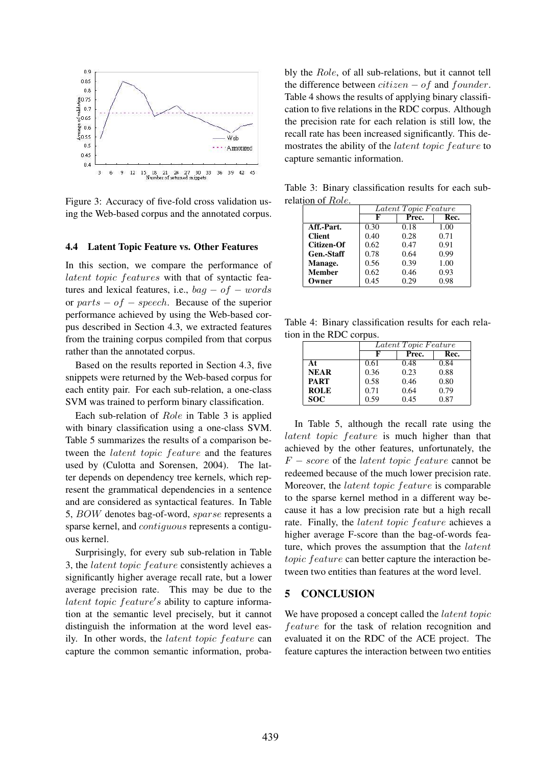

Figure 3: Accuracy of five-fold cross validation using the Web-based corpus and the annotated corpus.

#### 4.4 Latent Topic Feature vs. Other Features

In this section, we compare the performance of latent topic features with that of syntactic features and lexical features, i.e.,  $bag - of - words$ or  $parts - of - speech$ . Because of the superior performance achieved by using the Web-based corpus described in Section 4.3, we extracted features from the training corpus compiled from that corpus rather than the annotated corpus.

Based on the results reported in Section 4.3, five snippets were returned by the Web-based corpus for each entity pair. For each sub-relation, a one-class SVM was trained to perform binary classification.

Each sub-relation of Role in Table 3 is applied with binary classification using a one-class SVM. Table 5 summarizes the results of a comparison between the latent topic feature and the features used by (Culotta and Sorensen, 2004). The latter depends on dependency tree kernels, which represent the grammatical dependencies in a sentence and are considered as syntactical features. In Table 5, BOW denotes bag-of-word, sparse represents a sparse kernel, and contiguous represents a contiguous kernel.

Surprisingly, for every sub sub-relation in Table 3, the latent topic feature consistently achieves a significantly higher average recall rate, but a lower average precision rate. This may be due to the latent topic  $feature's$  ability to capture information at the semantic level precisely, but it cannot distinguish the information at the word level easily. In other words, the latent topic feature can capture the common semantic information, probably the Role, of all sub-relations, but it cannot tell the difference between  $citizen - of$  and  $founder$ . Table 4 shows the results of applying binary classification to five relations in the RDC corpus. Although the precision rate for each relation is still low, the recall rate has been increased significantly. This demostrates the ability of the latent topic feature to capture semantic information.

Table 3: Binary classification results for each subrelation of Role.

|               | Latent Topic Feature |       |      |
|---------------|----------------------|-------|------|
|               | F                    | Prec. | Rec. |
| Aff.-Part.    | 0.30                 | 0.18  | 1.00 |
| <b>Client</b> | 0.40                 | 0.28  | 0.71 |
| Citizen-Of    | 0.62                 | 0.47  | 0.91 |
| Gen.-Staff    | 0.78                 | 0.64  | 0.99 |
| Manage.       | 0.56                 | 0.39  | 1.00 |
| <b>Member</b> | 0.62                 | 0.46  | 0.93 |
| Owner         | 0.45                 | 0.29  | 0.98 |

Table 4: Binary classification results for each relation in the RDC corpus.

|             | Latent Topic Feature |       |      |
|-------------|----------------------|-------|------|
|             | F                    | Prec. | Rec. |
| At          | 0.61                 | 0.48  | 0.84 |
| <b>NEAR</b> | 0.36                 | 0.23  | 0.88 |
| <b>PART</b> | 0.58                 | 0.46  | 0.80 |
| <b>ROLE</b> | 0.71                 | 0.64  | 0.79 |
| <b>SOC</b>  | 0.59                 | 0.45  | 0.87 |

In Table 5, although the recall rate using the latent topic feature is much higher than that achieved by the other features, unfortunately, the  $F - score$  of the *latent topic feature* cannot be redeemed because of the much lower precision rate. Moreover, the latent topic feature is comparable to the sparse kernel method in a different way because it has a low precision rate but a high recall rate. Finally, the latent topic feature achieves a higher average F-score than the bag-of-words feature, which proves the assumption that the latent topic feature can better capture the interaction between two entities than features at the word level.

## 5 CONCLUSION

We have proposed a concept called the *latent topic* feature for the task of relation recognition and evaluated it on the RDC of the ACE project. The feature captures the interaction between two entities